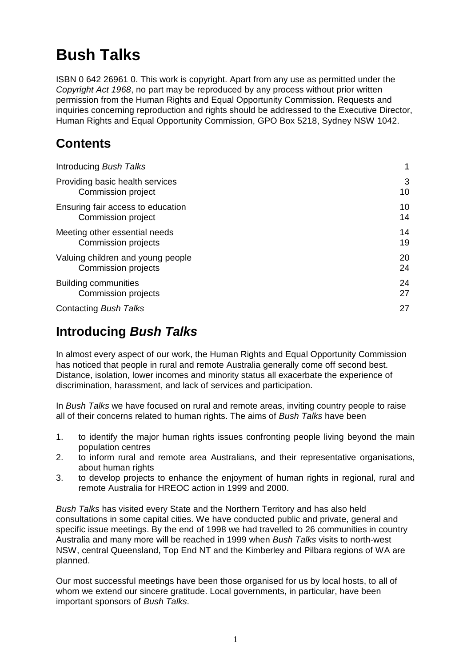# **Bush Talks**

ISBN 0 642 26961 0. This work is copyright. Apart from any use as permitted under the *Copyright Act 1968*, no part may be reproduced by any process without prior written permission from the Human Rights and Equal Opportunity Commission. Requests and inquiries concerning reproduction and rights should be addressed to the Executive Director, Human Rights and Equal Opportunity Commission, GPO Box 5218, Sydney NSW 1042.

## **Contents**

| Introducing Bush Talks            |    |
|-----------------------------------|----|
| Providing basic health services   | 3  |
| Commission project                | 10 |
| Ensuring fair access to education | 10 |
| Commission project                | 14 |
| Meeting other essential needs     | 14 |
| Commission projects               | 19 |
| Valuing children and young people | 20 |
| <b>Commission projects</b>        | 24 |
| <b>Building communities</b>       | 24 |
| <b>Commission projects</b>        | 27 |
| Contacting Bush Talks             | 27 |

## **Introducing** *Bush Talks*

In almost every aspect of our work, the Human Rights and Equal Opportunity Commission has noticed that people in rural and remote Australia generally come off second best. Distance, isolation, lower incomes and minority status all exacerbate the experience of discrimination, harassment, and lack of services and participation.

In *Bush Talks* we have focused on rural and remote areas, inviting country people to raise all of their concerns related to human rights. The aims of *Bush Talks* have been

- 1. to identify the major human rights issues confronting people living beyond the main population centres
- 2. to inform rural and remote area Australians, and their representative organisations, about human rights
- 3. to develop projects to enhance the enjoyment of human rights in regional, rural and remote Australia for HREOC action in 1999 and 2000.

*Bush Talks* has visited every State and the Northern Territory and has also held consultations in some capital cities. We have conducted public and private, general and specific issue meetings. By the end of 1998 we had travelled to 26 communities in country Australia and many more will be reached in 1999 when *Bush Talks* visits to north-west NSW, central Queensland, Top End NT and the Kimberley and Pilbara regions of WA are planned.

Our most successful meetings have been those organised for us by local hosts, to all of whom we extend our sincere gratitude. Local governments, in particular, have been important sponsors of *Bush Talks*.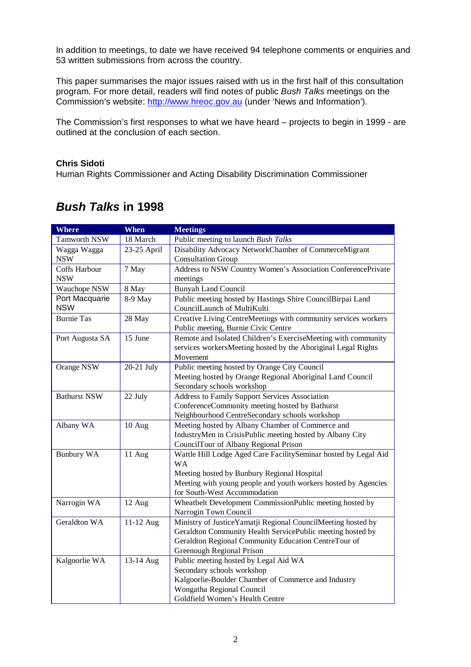In addition to meetings, to date we have received 94 telephone comments or enquiries and 53 written submissions from across the country.

This paper summarises the major issues raised with us in the first half of this consultation program. For more detail, readers will find notes of public *Bush Talks* meetings on the Commission's website: http://www.hreoc.gov.au (under 'News and Information').

The Commission's first responses to what we have heard – projects to begin in 1999 - are outlined at the conclusion of each section.

#### **Chris Sidoti**

Human Rights Commissioner and Acting Disability Discrimination Commissioner

| <b>Where</b>        | <b>When</b> | <b>Meetings</b>                                                 |
|---------------------|-------------|-----------------------------------------------------------------|
| Tamworth NSW        | 18 March    | Public meeting to launch Bush Talks                             |
| Wagga Wagga         | 23-25 April | Disability Advocacy NetworkChamber of CommerceMigrant           |
| <b>NSW</b>          |             | <b>Consultation Group</b>                                       |
| Coffs Harbour       | 7 May       | Address to NSW Country Women's Association ConferencePrivate    |
| <b>NSW</b>          |             | meetings                                                        |
| Wauchope NSW        | 8 May       | <b>Bunyah Land Council</b>                                      |
| Port Macquarie      | 8-9 May     | Public meeting hosted by Hastings Shire CouncilBirpai Land      |
| <b>NSW</b>          |             | CouncilLaunch of MultiKulti                                     |
| <b>Burnie Tas</b>   | 28 May      | Creative Living CentreMeetings with community services workers  |
|                     |             | Public meeting, Burnie Civic Centre                             |
| Port Augusta SA     | 15 June     | Remote and Isolated Children's ExerciseMeeting with community   |
|                     |             | services workersMeeting hosted by the Aboriginal Legal Rights   |
|                     |             | Movement                                                        |
| Orange NSW          | 20-21 July  | Public meeting hosted by Orange City Council                    |
|                     |             | Meeting hosted by Orange Regional Aboriginal Land Council       |
|                     |             | Secondary schools workshop                                      |
| <b>Bathurst NSW</b> | 22 July     | Address to Family Support Services Association                  |
|                     |             | ConferenceCommunity meeting hosted by Bathurst                  |
|                     |             | Neighbourhood CentreSecondary schools workshop                  |
| Albany WA           | 10 Aug      | Meeting hosted by Albany Chamber of Commerce and                |
|                     |             | IndustryMen in CrisisPublic meeting hosted by Albany City       |
|                     |             | CouncilTour of Albany Regional Prison                           |
| <b>Bunbury WA</b>   | 11 Aug      | Wattle Hill Lodge Aged Care FacilitySeminar hosted by Legal Aid |
|                     |             | <b>WA</b>                                                       |
|                     |             | Meeting hosted by Bunbury Regional Hospital                     |
|                     |             | Meeting with young people and youth workers hosted by Agencies  |
|                     |             | for South-West Accommodation                                    |
| Narrogin WA         | 12 Aug      | Wheatbelt Development CommissionPublic meeting hosted by        |
|                     |             | Narrogin Town Council                                           |
| Geraldton WA        | 11-12 Aug   | Ministry of JusticeYamatji Regional CouncilMeeting hosted by    |
|                     |             | Geraldton Community Health ServicePublic meeting hosted by      |
|                     |             | Geraldton Regional Community Education CentreTour of            |
|                     |             | Greenough Regional Prison                                       |
| Kalgoorlie WA       | 13-14 Aug   | Public meeting hosted by Legal Aid WA                           |
|                     |             | Secondary schools workshop                                      |
|                     |             | Kalgoorlie-Boulder Chamber of Commerce and Industry             |
|                     |             | Wongatha Regional Council                                       |
|                     |             | Goldfield Women's Health Centre                                 |

### *Bush Talks* **in 1998**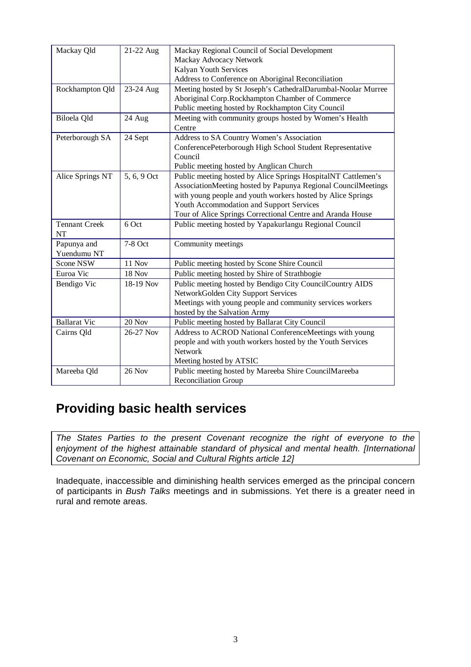| Mackay Qld           | 21-22 Aug   | Mackay Regional Council of Social Development                 |  |
|----------------------|-------------|---------------------------------------------------------------|--|
|                      |             | Mackay Advocacy Network                                       |  |
|                      |             | Kalyan Youth Services                                         |  |
|                      |             | Address to Conference on Aboriginal Reconciliation            |  |
| Rockhampton Qld      | 23-24 Aug   | Meeting hosted by St Joseph's CathedralDarumbal-Noolar Murree |  |
|                      |             | Aboriginal Corp.Rockhampton Chamber of Commerce               |  |
|                      |             | Public meeting hosted by Rockhampton City Council             |  |
| Biloela Qld          | 24 Aug      | Meeting with community groups hosted by Women's Health        |  |
|                      |             | Centre                                                        |  |
| Peterborough SA      | 24 Sept     | Address to SA Country Women's Association                     |  |
|                      |             | ConferencePeterborough High School Student Representative     |  |
|                      |             | Council                                                       |  |
|                      |             | Public meeting hosted by Anglican Church                      |  |
| Alice Springs NT     | 5, 6, 9 Oct | Public meeting hosted by Alice Springs HospitalNT Cattlemen's |  |
|                      |             | AssociationMeeting hosted by Papunya Regional CouncilMeetings |  |
|                      |             | with young people and youth workers hosted by Alice Springs   |  |
|                      |             | Youth Accommodation and Support Services                      |  |
|                      |             | Tour of Alice Springs Correctional Centre and Aranda House    |  |
| <b>Tennant Creek</b> | 6 Oct       | Public meeting hosted by Yapakurlangu Regional Council        |  |
| NT                   |             |                                                               |  |
| Papunya and          | 7-8 Oct     | Community meetings                                            |  |
| Yuendumu NT          |             |                                                               |  |
| Scone NSW            | 11 Nov      | Public meeting hosted by Scone Shire Council                  |  |
| Euroa Vic            | 18 Nov      | Public meeting hosted by Shire of Strathbogie                 |  |
| Bendigo Vic          | 18-19 Nov   | Public meeting hosted by Bendigo City CouncilCountry AIDS     |  |
|                      |             | NetworkGolden City Support Services                           |  |
|                      |             | Meetings with young people and community services workers     |  |
|                      |             | hosted by the Salvation Army                                  |  |
| <b>Ballarat Vic</b>  | 20 Nov      | Public meeting hosted by Ballarat City Council                |  |
| Cairns Qld           | 26-27 Nov   | Address to ACROD National ConferenceMeetings with young       |  |
|                      |             | people and with youth workers hosted by the Youth Services    |  |
|                      |             | Network                                                       |  |
|                      |             | Meeting hosted by ATSIC                                       |  |
| Mareeba Qld          | 26 Nov      | Public meeting hosted by Mareeba Shire CouncilMareeba         |  |
|                      |             | <b>Reconciliation Group</b>                                   |  |

## **Providing basic health services**

*The States Parties to the present Covenant recognize the right of everyone to the enjoyment of the highest attainable standard of physical and mental health. [International Covenant on Economic, Social and Cultural Rights article 12]*

Inadequate, inaccessible and diminishing health services emerged as the principal concern of participants in *Bush Talks* meetings and in submissions. Yet there is a greater need in rural and remote areas.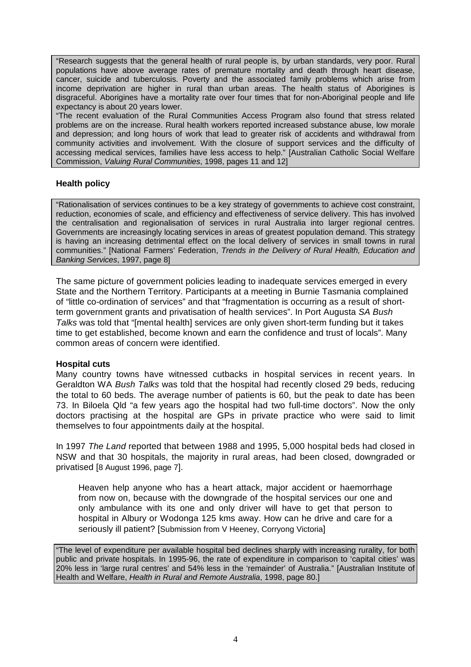"Research suggests that the general health of rural people is, by urban standards, very poor. Rural populations have above average rates of premature mortality and death through heart disease, cancer, suicide and tuberculosis. Poverty and the associated family problems which arise from income deprivation are higher in rural than urban areas. The health status of Aborigines is disgraceful. Aborigines have a mortality rate over four times that for non-Aboriginal people and life expectancy is about 20 years lower.

"The recent evaluation of the Rural Communities Access Program also found that stress related problems are on the increase. Rural health workers reported increased substance abuse, low morale and depression; and long hours of work that lead to greater risk of accidents and withdrawal from community activities and involvement. With the closure of support services and the difficulty of accessing medical services, families have less access to help." [Australian Catholic Social Welfare Commission, *Valuing Rural Communities*, 1998, pages 11 and 12]

#### **Health policy**

"Rationalisation of services continues to be a key strategy of governments to achieve cost constraint, reduction, economies of scale, and efficiency and effectiveness of service delivery. This has involved the centralisation and regionalisation of services in rural Australia into larger regional centres. Governments are increasingly locating services in areas of greatest population demand. This strategy is having an increasing detrimental effect on the local delivery of services in small towns in rural communities." [National Farmers' Federation, *Trends in the Delivery of Rural Health, Education and Banking Services*, 1997, page 8]

The same picture of government policies leading to inadequate services emerged in every State and the Northern Territory. Participants at a meeting in Burnie Tasmania complained of "little co-ordination of services" and that "fragmentation is occurring as a result of shortterm government grants and privatisation of health services". In Port Augusta *SA Bush Talks* was told that "[mental health] services are only given short-term funding but it takes time to get established, become known and earn the confidence and trust of locals". Many common areas of concern were identified.

#### **Hospital cuts**

Many country towns have witnessed cutbacks in hospital services in recent years. In Geraldton WA *Bush Talks* was told that the hospital had recently closed 29 beds, reducing the total to 60 beds. The average number of patients is 60, but the peak to date has been 73. In Biloela Qld "a few years ago the hospital had two full-time doctors". Now the only doctors practising at the hospital are GPs in private practice who were said to limit themselves to four appointments daily at the hospital.

In 1997 *The Land* reported that between 1988 and 1995, 5,000 hospital beds had closed in NSW and that 30 hospitals, the majority in rural areas, had been closed, downgraded or privatised [8 August 1996, page 7].

Heaven help anyone who has a heart attack, major accident or haemorrhage from now on, because with the downgrade of the hospital services our one and only ambulance with its one and only driver will have to get that person to hospital in Albury or Wodonga 125 kms away. How can he drive and care for a seriously ill patient? [Submission from V Heeney, Corryong Victoria]

"The level of expenditure per available hospital bed declines sharply with increasing rurality, for both public and private hospitals. In 1995-96, the rate of expenditure in comparison to 'capital cities' was 20% less in 'large rural centres' and 54% less in the 'remainder' of Australia." [Australian Institute of Health and Welfare, *Health in Rural and Remote Australia*, 1998, page 80.]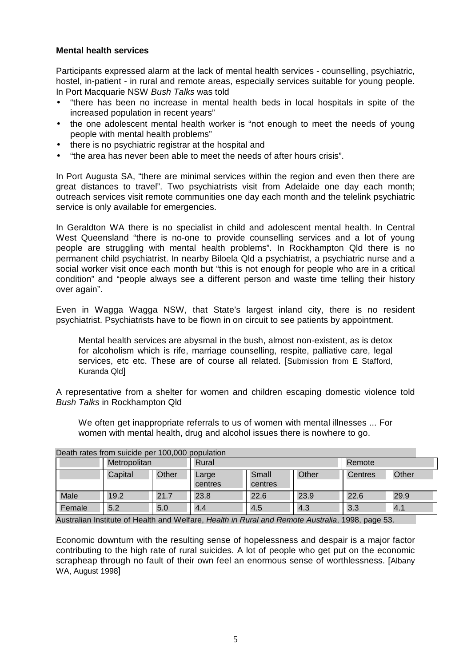#### **Mental health services**

Participants expressed alarm at the lack of mental health services - counselling, psychiatric, hostel, in-patient - in rural and remote areas, especially services suitable for young people. In Port Macquarie NSW *Bush Talks* was told

- "there has been no increase in mental health beds in local hospitals in spite of the increased population in recent years"
- the one adolescent mental health worker is "not enough to meet the needs of young people with mental health problems"
- there is no psychiatric registrar at the hospital and
- "the area has never been able to meet the needs of after hours crisis".

In Port Augusta SA, "there are minimal services within the region and even then there are great distances to travel". Two psychiatrists visit from Adelaide one day each month; outreach services visit remote communities one day each month and the telelink psychiatric service is only available for emergencies.

In Geraldton WA there is no specialist in child and adolescent mental health. In Central West Queensland "there is no-one to provide counselling services and a lot of young people are struggling with mental health problems". In Rockhampton Qld there is no permanent child psychiatrist. In nearby Biloela Qld a psychiatrist, a psychiatric nurse and a social worker visit once each month but "this is not enough for people who are in a critical condition" and "people always see a different person and waste time telling their history over again".

Even in Wagga Wagga NSW, that State's largest inland city, there is no resident psychiatrist. Psychiatrists have to be flown in on circuit to see patients by appointment.

Mental health services are abysmal in the bush, almost non-existent, as is detox for alcoholism which is rife, marriage counselling, respite, palliative care, legal services, etc etc. These are of course all related. [Submission from E Stafford, Kuranda Qld]

A representative from a shelter for women and children escaping domestic violence told *Bush Talks* in Rockhampton Qld

We often get inappropriate referrals to us of women with mental illnesses ... For women with mental health, drug and alcohol issues there is nowhere to go.

|        | Metropolitan |       | <u>Dealit fales from suicide per T00,000 population</u><br>Rural |                  | Remote |         |       |
|--------|--------------|-------|------------------------------------------------------------------|------------------|--------|---------|-------|
|        | Capital      | Other | Large<br>centres                                                 | Small<br>centres | Other  | Centres | Other |
| Male   | 19.2         | 21.7  | 23.8                                                             | 22.6             | 23.9   | 22.6    | 29.9  |
| Female | 5.2          | 5.0   | 4.4                                                              | 4.5              | 4.3    | 3.3     | 4.1   |

#### Death rates from suicide per 100,000 population

Australian Institute of Health and Welfare, *Health in Rural and Remote Australia*, 1998, page 53.

Economic downturn with the resulting sense of hopelessness and despair is a major factor contributing to the high rate of rural suicides. A lot of people who get put on the economic scrapheap through no fault of their own feel an enormous sense of worthlessness. [Albany WA, August 1998]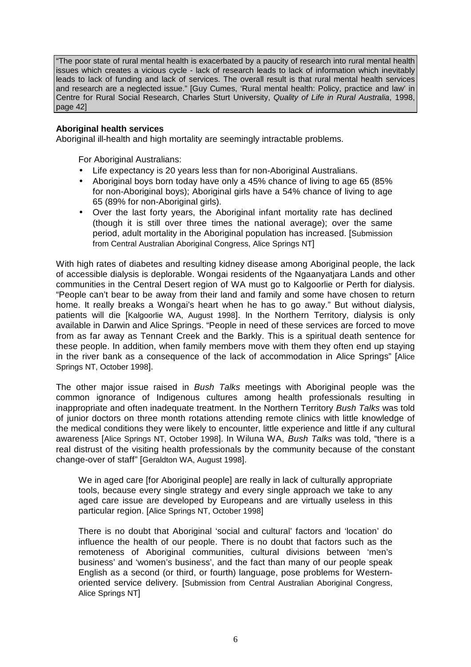"The poor state of rural mental health is exacerbated by a paucity of research into rural mental health issues which creates a vicious cycle - lack of research leads to lack of information which inevitably leads to lack of funding and lack of services. The overall result is that rural mental health services and research are a neglected issue." [Guy Cumes, 'Rural mental health: Policy, practice and law' in Centre for Rural Social Research, Charles Sturt University, *Quality of Life in Rural Australia*, 1998, page 42]

#### **Aboriginal health services**

Aboriginal ill-health and high mortality are seemingly intractable problems.

For Aboriginal Australians:

- Life expectancy is 20 years less than for non-Aboriginal Australians.
- Aboriginal boys born today have only a 45% chance of living to age 65 (85% for non-Aboriginal boys); Aboriginal girls have a 54% chance of living to age 65 (89% for non-Aboriginal girls).
- Over the last forty years, the Aboriginal infant mortality rate has declined (though it is still over three times the national average); over the same period, adult mortality in the Aboriginal population has increased. [Submission from Central Australian Aboriginal Congress, Alice Springs NT]

With high rates of diabetes and resulting kidney disease among Aboriginal people, the lack of accessible dialysis is deplorable. Wongai residents of the Ngaanyatjara Lands and other communities in the Central Desert region of WA must go to Kalgoorlie or Perth for dialysis. "People can't bear to be away from their land and family and some have chosen to return home. It really breaks a Wongai's heart when he has to go away." But without dialysis, patients will die [Kalgoorlie WA, August 1998]. In the Northern Territory, dialysis is only available in Darwin and Alice Springs. "People in need of these services are forced to move from as far away as Tennant Creek and the Barkly. This is a spiritual death sentence for these people. In addition, when family members move with them they often end up staying in the river bank as a consequence of the lack of accommodation in Alice Springs" [Alice Springs NT, October 1998].

The other major issue raised in *Bush Talks* meetings with Aboriginal people was the common ignorance of Indigenous cultures among health professionals resulting in inappropriate and often inadequate treatment. In the Northern Territory *Bush Talks* was told of junior doctors on three month rotations attending remote clinics with little knowledge of the medical conditions they were likely to encounter, little experience and little if any cultural awareness [Alice Springs NT, October 1998]. In Wiluna WA, *Bush Talks* was told, "there is a real distrust of the visiting health professionals by the community because of the constant change-over of staff" [Geraldton WA, August 1998].

We in aged care [for Aboriginal people] are really in lack of culturally appropriate tools, because every single strategy and every single approach we take to any aged care issue are developed by Europeans and are virtually useless in this particular region. [Alice Springs NT, October 1998]

There is no doubt that Aboriginal 'social and cultural' factors and 'location' do influence the health of our people. There is no doubt that factors such as the remoteness of Aboriginal communities, cultural divisions between 'men's business' and 'women's business', and the fact than many of our people speak English as a second (or third, or fourth) language, pose problems for Westernoriented service delivery. [Submission from Central Australian Aboriginal Congress, Alice Springs NT]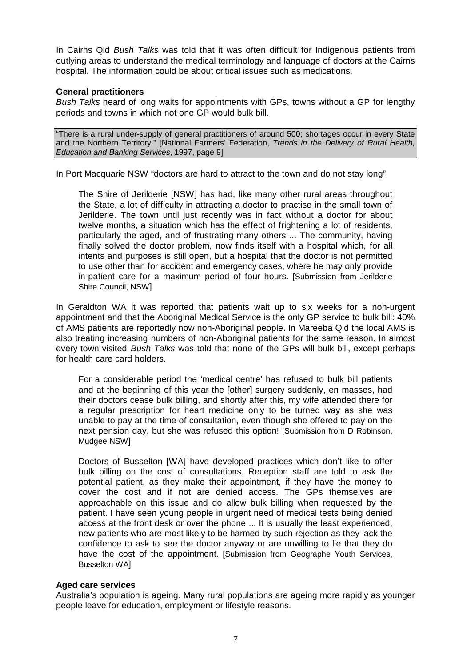In Cairns Qld *Bush Talks* was told that it was often difficult for Indigenous patients from outlying areas to understand the medical terminology and language of doctors at the Cairns hospital. The information could be about critical issues such as medications.

#### **General practitioners**

*Bush Talks* heard of long waits for appointments with GPs, towns without a GP for lengthy periods and towns in which not one GP would bulk bill.

"There is a rural under-supply of general practitioners of around 500; shortages occur in every State and the Northern Territory." [National Farmers' Federation, *Trends in the Delivery of Rural Health, Education and Banking Services*, 1997, page 9]

In Port Macquarie NSW "doctors are hard to attract to the town and do not stay long".

The Shire of Jerilderie [NSW] has had, like many other rural areas throughout the State, a lot of difficulty in attracting a doctor to practise in the small town of Jerilderie. The town until just recently was in fact without a doctor for about twelve months, a situation which has the effect of frightening a lot of residents, particularly the aged, and of frustrating many others ... The community, having finally solved the doctor problem, now finds itself with a hospital which, for all intents and purposes is still open, but a hospital that the doctor is not permitted to use other than for accident and emergency cases, where he may only provide in-patient care for a maximum period of four hours. [Submission from Jerilderie Shire Council, NSW]

In Geraldton WA it was reported that patients wait up to six weeks for a non-urgent appointment and that the Aboriginal Medical Service is the only GP service to bulk bill: 40% of AMS patients are reportedly now non-Aboriginal people. In Mareeba Qld the local AMS is also treating increasing numbers of non-Aboriginal patients for the same reason. In almost every town visited *Bush Talks* was told that none of the GPs will bulk bill, except perhaps for health care card holders.

For a considerable period the 'medical centre' has refused to bulk bill patients and at the beginning of this year the [other] surgery suddenly, en masses, had their doctors cease bulk billing, and shortly after this, my wife attended there for a regular prescription for heart medicine only to be turned way as she was unable to pay at the time of consultation, even though she offered to pay on the next pension day, but she was refused this option! [Submission from D Robinson, Mudgee NSW]

Doctors of Busselton [WA] have developed practices which don't like to offer bulk billing on the cost of consultations. Reception staff are told to ask the potential patient, as they make their appointment, if they have the money to cover the cost and if not are denied access. The GPs themselves are approachable on this issue and do allow bulk billing when requested by the patient. I have seen young people in urgent need of medical tests being denied access at the front desk or over the phone ... It is usually the least experienced, new patients who are most likely to be harmed by such rejection as they lack the confidence to ask to see the doctor anyway or are unwilling to lie that they do have the cost of the appointment. [Submission from Geographe Youth Services, Busselton WA]

#### **Aged care services**

Australia's population is ageing. Many rural populations are ageing more rapidly as younger people leave for education, employment or lifestyle reasons.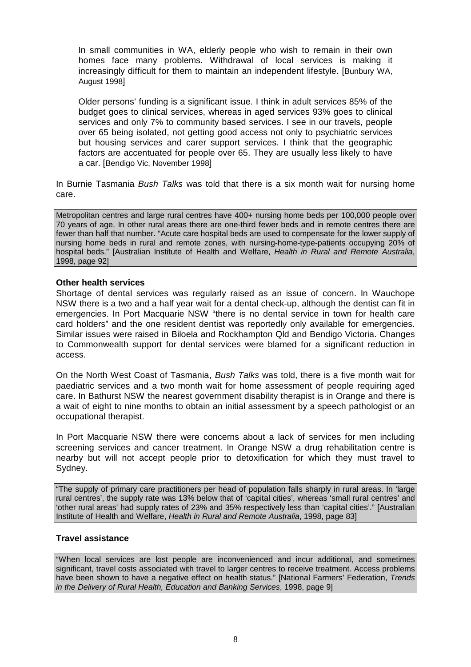In small communities in WA, elderly people who wish to remain in their own homes face many problems. Withdrawal of local services is making it increasingly difficult for them to maintain an independent lifestyle. [Bunbury WA, August 1998]

Older persons' funding is a significant issue. I think in adult services 85% of the budget goes to clinical services, whereas in aged services 93% goes to clinical services and only 7% to community based services. I see in our travels, people over 65 being isolated, not getting good access not only to psychiatric services but housing services and carer support services. I think that the geographic factors are accentuated for people over 65. They are usually less likely to have a car. [Bendigo Vic, November 1998]

In Burnie Tasmania *Bush Talks* was told that there is a six month wait for nursing home care.

Metropolitan centres and large rural centres have 400+ nursing home beds per 100,000 people over 70 years of age. In other rural areas there are one-third fewer beds and in remote centres there are fewer than half that number. "Acute care hospital beds are used to compensate for the lower supply of nursing home beds in rural and remote zones, with nursing-home-type-patients occupying 20% of hospital beds." [Australian Institute of Health and Welfare, *Health in Rural and Remote Australia*, 1998, page 92]

#### **Other health services**

Shortage of dental services was regularly raised as an issue of concern. In Wauchope NSW there is a two and a half year wait for a dental check-up, although the dentist can fit in emergencies. In Port Macquarie NSW "there is no dental service in town for health care card holders" and the one resident dentist was reportedly only available for emergencies. Similar issues were raised in Biloela and Rockhampton Qld and Bendigo Victoria. Changes to Commonwealth support for dental services were blamed for a significant reduction in access.

On the North West Coast of Tasmania, *Bush Talks* was told, there is a five month wait for paediatric services and a two month wait for home assessment of people requiring aged care. In Bathurst NSW the nearest government disability therapist is in Orange and there is a wait of eight to nine months to obtain an initial assessment by a speech pathologist or an occupational therapist.

In Port Macquarie NSW there were concerns about a lack of services for men including screening services and cancer treatment. In Orange NSW a drug rehabilitation centre is nearby but will not accept people prior to detoxification for which they must travel to Sydney.

"The supply of primary care practitioners per head of population falls sharply in rural areas. In 'large rural centres', the supply rate was 13% below that of 'capital cities', whereas 'small rural centres' and 'other rural areas' had supply rates of 23% and 35% respectively less than 'capital cities'." [Australian Institute of Health and Welfare, *Health in Rural and Remote Australia*, 1998, page 83]

#### **Travel assistance**

"When local services are lost people are inconvenienced and incur additional, and sometimes significant, travel costs associated with travel to larger centres to receive treatment. Access problems have been shown to have a negative effect on health status." [National Farmers' Federation, *Trends in the Delivery of Rural Health, Education and Banking Services*, 1998, page 9]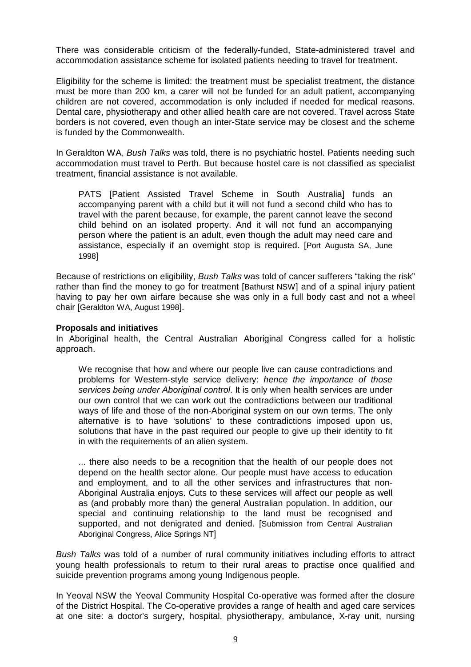There was considerable criticism of the federally-funded, State-administered travel and accommodation assistance scheme for isolated patients needing to travel for treatment.

Eligibility for the scheme is limited: the treatment must be specialist treatment, the distance must be more than 200 km, a carer will not be funded for an adult patient, accompanying children are not covered, accommodation is only included if needed for medical reasons. Dental care, physiotherapy and other allied health care are not covered. Travel across State borders is not covered, even though an inter-State service may be closest and the scheme is funded by the Commonwealth.

In Geraldton WA, *Bush Talks* was told, there is no psychiatric hostel. Patients needing such accommodation must travel to Perth. But because hostel care is not classified as specialist treatment, financial assistance is not available.

PATS [Patient Assisted Travel Scheme in South Australia] funds an accompanying parent with a child but it will not fund a second child who has to travel with the parent because, for example, the parent cannot leave the second child behind on an isolated property. And it will not fund an accompanying person where the patient is an adult, even though the adult may need care and assistance, especially if an overnight stop is required. [Port Augusta SA, June 1998]

Because of restrictions on eligibility, *Bush Talks* was told of cancer sufferers "taking the risk" rather than find the money to go for treatment [Bathurst NSW] and of a spinal injury patient having to pay her own airfare because she was only in a full body cast and not a wheel chair [Geraldton WA, August 1998].

#### **Proposals and initiatives**

In Aboriginal health, the Central Australian Aboriginal Congress called for a holistic approach.

We recognise that how and where our people live can cause contradictions and problems for Western-style service delivery: *hence the importance of those services being under Aboriginal control*. It is only when health services are under our own control that we can work out the contradictions between our traditional ways of life and those of the non-Aboriginal system on our own terms. The only alternative is to have 'solutions' to these contradictions imposed upon us, solutions that have in the past required our people to give up their identity to fit in with the requirements of an alien system.

... there also needs to be a recognition that the health of our people does not depend on the health sector alone. Our people must have access to education and employment, and to all the other services and infrastructures that non-Aboriginal Australia enjoys. Cuts to these services will affect our people as well as (and probably more than) the general Australian population. In addition, our special and continuing relationship to the land must be recognised and supported, and not denigrated and denied. [Submission from Central Australian Aboriginal Congress, Alice Springs NT]

*Bush Talks* was told of a number of rural community initiatives including efforts to attract young health professionals to return to their rural areas to practise once qualified and suicide prevention programs among young Indigenous people.

In Yeoval NSW the Yeoval Community Hospital Co-operative was formed after the closure of the District Hospital. The Co-operative provides a range of health and aged care services at one site: a doctor's surgery, hospital, physiotherapy, ambulance, X-ray unit, nursing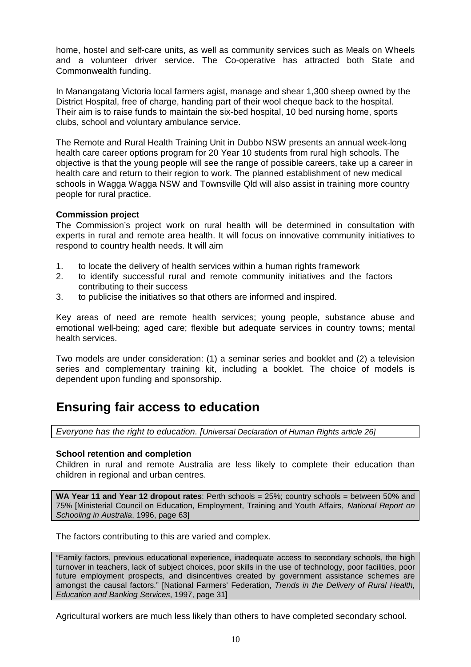home, hostel and self-care units, as well as community services such as Meals on Wheels and a volunteer driver service. The Co-operative has attracted both State and Commonwealth funding.

In Manangatang Victoria local farmers agist, manage and shear 1,300 sheep owned by the District Hospital, free of charge, handing part of their wool cheque back to the hospital. Their aim is to raise funds to maintain the six-bed hospital, 10 bed nursing home, sports clubs, school and voluntary ambulance service.

The Remote and Rural Health Training Unit in Dubbo NSW presents an annual week-long health care career options program for 20 Year 10 students from rural high schools. The objective is that the young people will see the range of possible careers, take up a career in health care and return to their region to work. The planned establishment of new medical schools in Wagga Wagga NSW and Townsville Qld will also assist in training more country people for rural practice.

#### **Commission project**

The Commission's project work on rural health will be determined in consultation with experts in rural and remote area health. It will focus on innovative community initiatives to respond to country health needs. It will aim

- 1. to locate the delivery of health services within a human rights framework
- 2. to identify successful rural and remote community initiatives and the factors contributing to their success
- 3. to publicise the initiatives so that others are informed and inspired.

Key areas of need are remote health services; young people, substance abuse and emotional well-being; aged care; flexible but adequate services in country towns; mental health services.

Two models are under consideration: (1) a seminar series and booklet and (2) a television series and complementary training kit, including a booklet. The choice of models is dependent upon funding and sponsorship.

### **Ensuring fair access to education**

*Everyone has the right to education. [Universal Declaration of Human Rights article 26]*

#### **School retention and completion**

Children in rural and remote Australia are less likely to complete their education than children in regional and urban centres.

**WA Year 11 and Year 12 dropout rates**: Perth schools = 25%; country schools = between 50% and 75% [Ministerial Council on Education, Employment, Training and Youth Affairs, *National Report on Schooling in Australia*, 1996, page 63]

The factors contributing to this are varied and complex.

"Family factors, previous educational experience, inadequate access to secondary schools, the high turnover in teachers, lack of subject choices, poor skills in the use of technology, poor facilities, poor future employment prospects, and disincentives created by government assistance schemes are amongst the causal factors." [National Farmers' Federation, *Trends in the Delivery of Rural Health, Education and Banking Services*, 1997, page 31]

Agricultural workers are much less likely than others to have completed secondary school.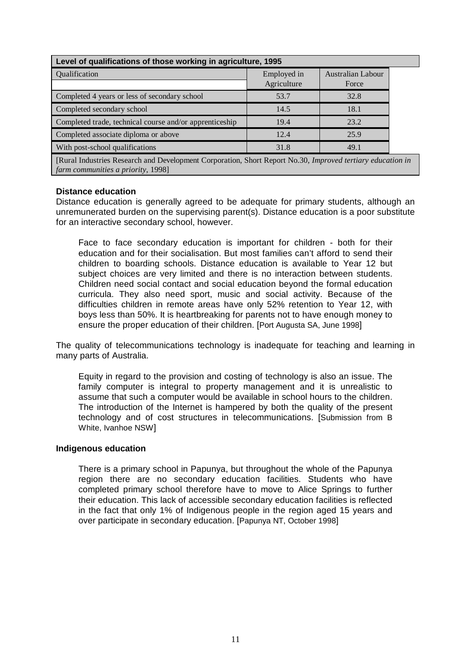| Level of qualifications of those working in agriculture, 1995 |                            |                            |  |  |
|---------------------------------------------------------------|----------------------------|----------------------------|--|--|
| Qualification                                                 | Employed in<br>Agriculture | Australian Labour<br>Force |  |  |
| Completed 4 years or less of secondary school                 | 53.7                       | 32.8                       |  |  |
| Completed secondary school                                    | 14.5                       | 18.1                       |  |  |
| Completed trade, technical course and/or apprenticeship       | 19.4                       | 23.2                       |  |  |
| Completed associate diploma or above                          | 12.4                       | 25.9                       |  |  |
| With post-school qualifications                               | 31.8                       | 49.1                       |  |  |

[Rural Industries Research and Development Corporation, Short Report No.30, *Improved tertiary education in farm communities a priority*, 1998]

#### **Distance education**

Distance education is generally agreed to be adequate for primary students, although an unremunerated burden on the supervising parent(s). Distance education is a poor substitute for an interactive secondary school, however.

Face to face secondary education is important for children - both for their education and for their socialisation. But most families can't afford to send their children to boarding schools. Distance education is available to Year 12 but subject choices are very limited and there is no interaction between students. Children need social contact and social education beyond the formal education curricula. They also need sport, music and social activity. Because of the difficulties children in remote areas have only 52% retention to Year 12, with boys less than 50%. It is heartbreaking for parents not to have enough money to ensure the proper education of their children. [Port Augusta SA, June 1998]

The quality of telecommunications technology is inadequate for teaching and learning in many parts of Australia.

Equity in regard to the provision and costing of technology is also an issue. The family computer is integral to property management and it is unrealistic to assume that such a computer would be available in school hours to the children. The introduction of the Internet is hampered by both the quality of the present technology and of cost structures in telecommunications. [Submission from B White, Ivanhoe NSW]

#### **Indigenous education**

There is a primary school in Papunya, but throughout the whole of the Papunya region there are no secondary education facilities. Students who have completed primary school therefore have to move to Alice Springs to further their education. This lack of accessible secondary education facilities is reflected in the fact that only 1% of Indigenous people in the region aged 15 years and over participate in secondary education. [Papunya NT, October 1998]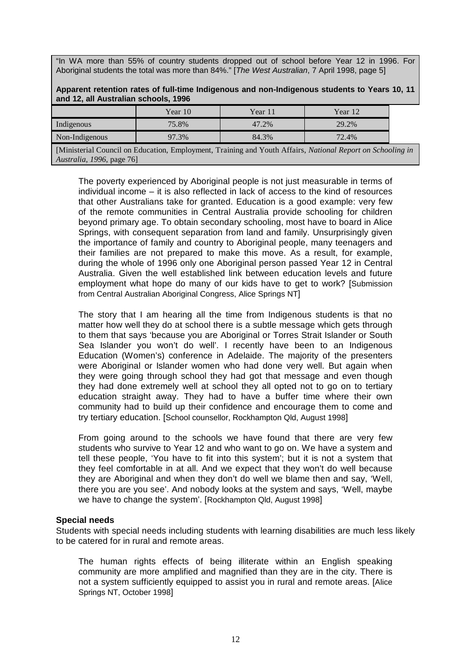"In WA more than 55% of country students dropped out of school before Year 12 in 1996. For Aboriginal students the total was more than 84%." [*The West Australian*, 7 April 1998, page 5]

|                                      | Apparent retention rates of full-time Indigenous and non-Indigenous students to Years 10, 11 |  |
|--------------------------------------|----------------------------------------------------------------------------------------------|--|
| and 12, all Australian schools, 1996 |                                                                                              |  |
|                                      |                                                                                              |  |

|                | Year 10 | Year 1. | Year 12 |
|----------------|---------|---------|---------|
| Indigenous     | 75.8%   | 47.2%   | 29.2%   |
| Non-Indigenous | 97.3%   | 84.3%   | 72.4%   |

[Ministerial Council on Education, Employment, Training and Youth Affairs, *National Report on Schooling in Australia*, *1996*, page 76]

The poverty experienced by Aboriginal people is not just measurable in terms of individual income – it is also reflected in lack of access to the kind of resources that other Australians take for granted. Education is a good example: very few of the remote communities in Central Australia provide schooling for children beyond primary age. To obtain secondary schooling, most have to board in Alice Springs, with consequent separation from land and family. Unsurprisingly given the importance of family and country to Aboriginal people, many teenagers and their families are not prepared to make this move. As a result, for example, during the whole of 1996 only one Aboriginal person passed Year 12 in Central Australia. Given the well established link between education levels and future employment what hope do many of our kids have to get to work? [Submission from Central Australian Aboriginal Congress, Alice Springs NT]

The story that I am hearing all the time from Indigenous students is that no matter how well they do at school there is a subtle message which gets through to them that says 'because you are Aboriginal or Torres Strait Islander or South Sea Islander you won't do well'. I recently have been to an Indigenous Education (Women's) conference in Adelaide. The majority of the presenters were Aboriginal or Islander women who had done very well. But again when they were going through school they had got that message and even though they had done extremely well at school they all opted not to go on to tertiary education straight away. They had to have a buffer time where their own community had to build up their confidence and encourage them to come and try tertiary education. [School counsellor, Rockhampton Qld, August 1998]

From going around to the schools we have found that there are very few students who survive to Year 12 and who want to go on. We have a system and tell these people, 'You have to fit into this system'; but it is not a system that they feel comfortable in at all. And we expect that they won't do well because they are Aboriginal and when they don't do well we blame then and say, 'Well, there you are you see'. And nobody looks at the system and says, 'Well, maybe we have to change the system'. [Rockhampton Qld, August 1998]

#### **Special needs**

Students with special needs including students with learning disabilities are much less likely to be catered for in rural and remote areas.

The human rights effects of being illiterate within an English speaking community are more amplified and magnified than they are in the city. There is not a system sufficiently equipped to assist you in rural and remote areas. [Alice Springs NT, October 1998]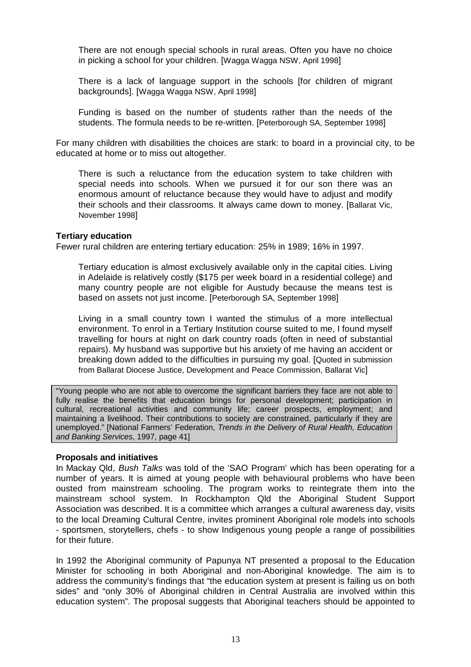There are not enough special schools in rural areas. Often you have no choice in picking a school for your children. [Wagga Wagga NSW, April 1998]

There is a lack of language support in the schools [for children of migrant backgrounds]. [Wagga Wagga NSW, April 1998]

Funding is based on the number of students rather than the needs of the students. The formula needs to be re-written. [Peterborough SA, September 1998]

For many children with disabilities the choices are stark: to board in a provincial city, to be educated at home or to miss out altogether.

There is such a reluctance from the education system to take children with special needs into schools. When we pursued it for our son there was an enormous amount of reluctance because they would have to adjust and modify their schools and their classrooms. It always came down to money. [Ballarat Vic, November 1998]

#### **Tertiary education**

Fewer rural children are entering tertiary education: 25% in 1989; 16% in 1997.

Tertiary education is almost exclusively available only in the capital cities. Living in Adelaide is relatively costly (\$175 per week board in a residential college) and many country people are not eligible for Austudy because the means test is based on assets not just income. [Peterborough SA, September 1998]

Living in a small country town I wanted the stimulus of a more intellectual environment. To enrol in a Tertiary Institution course suited to me, I found myself travelling for hours at night on dark country roads (often in need of substantial repairs). My husband was supportive but his anxiety of me having an accident or breaking down added to the difficulties in pursuing my goal. [Quoted in submission from Ballarat Diocese Justice, Development and Peace Commission, Ballarat Vic]

"Young people who are not able to overcome the significant barriers they face are not able to fully realise the benefits that education brings for personal development; participation in cultural, recreational activities and community life; career prospects, employment; and maintaining a livelihood. Their contributions to society are constrained, particularly if they are unemployed." [National Farmers' Federation, *Trends in the Delivery of Rural Health, Education and Banking Services*, 1997, page 41]

#### **Proposals and initiatives**

In Mackay Qld, *Bush Talks* was told of the 'SAO Program' which has been operating for a number of years. It is aimed at young people with behavioural problems who have been ousted from mainstream schooling. The program works to reintegrate them into the mainstream school system. In Rockhampton Qld the Aboriginal Student Support Association was described. It is a committee which arranges a cultural awareness day, visits to the local Dreaming Cultural Centre, invites prominent Aboriginal role models into schools - sportsmen, storytellers, chefs - to show Indigenous young people a range of possibilities for their future.

In 1992 the Aboriginal community of Papunya NT presented a proposal to the Education Minister for schooling in both Aboriginal and non-Aboriginal knowledge. The aim is to address the community's findings that "the education system at present is failing us on both sides" and "only 30% of Aboriginal children in Central Australia are involved within this education system". The proposal suggests that Aboriginal teachers should be appointed to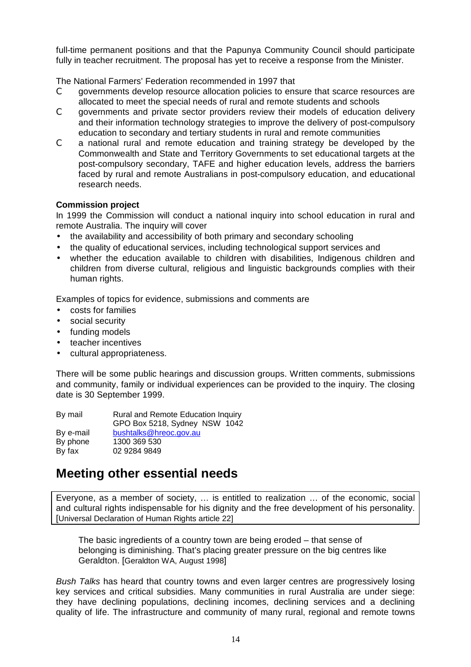full-time permanent positions and that the Papunya Community Council should participate fully in teacher recruitment. The proposal has yet to receive a response from the Minister.

The National Farmers' Federation recommended in 1997 that

- C governments develop resource allocation policies to ensure that scarce resources are allocated to meet the special needs of rural and remote students and schools
- C governments and private sector providers review their models of education delivery and their information technology strategies to improve the delivery of post-compulsory education to secondary and tertiary students in rural and remote communities
- C a national rural and remote education and training strategy be developed by the Commonwealth and State and Territory Governments to set educational targets at the post-compulsory secondary, TAFE and higher education levels, address the barriers faced by rural and remote Australians in post-compulsory education, and educational research needs.

#### **Commission project**

In 1999 the Commission will conduct a national inquiry into school education in rural and remote Australia. The inquiry will cover

- the availability and accessibility of both primary and secondary schooling
- the quality of educational services, including technological support services and
- whether the education available to children with disabilities, Indigenous children and children from diverse cultural, religious and linguistic backgrounds complies with their human rights.

Examples of topics for evidence, submissions and comments are

- costs for families
- social security
- funding models
- teacher incentives
- cultural appropriateness.

There will be some public hearings and discussion groups. Written comments, submissions and community, family or individual experiences can be provided to the inquiry. The closing date is 30 September 1999.

| By mail   | Rural and Remote Education Inquiry |
|-----------|------------------------------------|
|           | GPO Box 5218, Sydney NSW 1042      |
| By e-mail | bushtalks@hreoc.gov.au             |
| By phone  | 1300 369 530                       |
| By fax    | 02 9284 9849                       |
|           |                                    |

### **Meeting other essential needs**

Everyone, as a member of society, … is entitled to realization … of the economic, social and cultural rights indispensable for his dignity and the free development of his personality. [Universal Declaration of Human Rights article 22]

The basic ingredients of a country town are being eroded – that sense of belonging is diminishing. That's placing greater pressure on the big centres like Geraldton. [Geraldton WA, August 1998]

*Bush Talks* has heard that country towns and even larger centres are progressively losing key services and critical subsidies. Many communities in rural Australia are under siege: they have declining populations, declining incomes, declining services and a declining quality of life. The infrastructure and community of many rural, regional and remote towns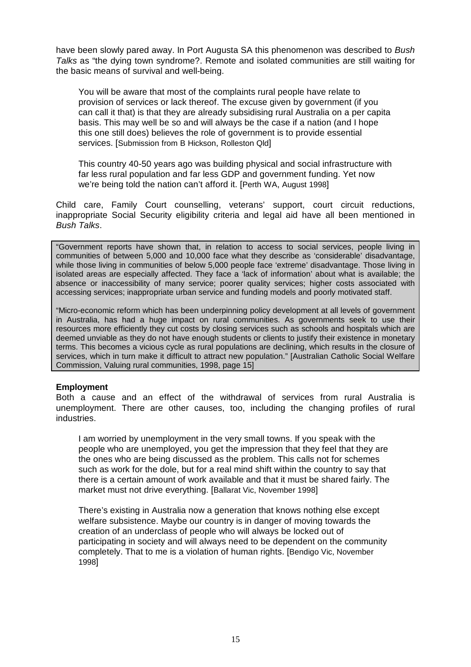have been slowly pared away. In Port Augusta SA this phenomenon was described to *Bush Talks* as "the dying town syndrome?. Remote and isolated communities are still waiting for the basic means of survival and well-being.

You will be aware that most of the complaints rural people have relate to provision of services or lack thereof. The excuse given by government (if you can call it that) is that they are already subsidising rural Australia on a per capita basis. This may well be so and will always be the case if a nation (and I hope this one still does) believes the role of government is to provide essential services. [Submission from B Hickson, Rolleston Qld]

This country 40-50 years ago was building physical and social infrastructure with far less rural population and far less GDP and government funding. Yet now we're being told the nation can't afford it. [Perth WA, August 1998]

Child care, Family Court counselling, veterans' support, court circuit reductions, inappropriate Social Security eligibility criteria and legal aid have all been mentioned in *Bush Talks*.

"Government reports have shown that, in relation to access to social services, people living in communities of between 5,000 and 10,000 face what they describe as 'considerable' disadvantage, while those living in communities of below 5,000 people face 'extreme' disadvantage. Those living in isolated areas are especially affected. They face a 'lack of information' about what is available; the absence or inaccessibility of many service; poorer quality services; higher costs associated with accessing services; inappropriate urban service and funding models and poorly motivated staff.

"Micro-economic reform which has been underpinning policy development at all levels of government in Australia, has had a huge impact on rural communities. As governments seek to use their resources more efficiently they cut costs by closing services such as schools and hospitals which are deemed unviable as they do not have enough students or clients to justify their existence in monetary terms. This becomes a vicious cycle as rural populations are declining, which results in the closure of services, which in turn make it difficult to attract new population." [Australian Catholic Social Welfare Commission, Valuing rural communities, 1998, page 15]

#### **Employment**

Both a cause and an effect of the withdrawal of services from rural Australia is unemployment. There are other causes, too, including the changing profiles of rural industries.

I am worried by unemployment in the very small towns. If you speak with the people who are unemployed, you get the impression that they feel that they are the ones who are being discussed as the problem. This calls not for schemes such as work for the dole, but for a real mind shift within the country to say that there is a certain amount of work available and that it must be shared fairly. The market must not drive everything. [Ballarat Vic, November 1998]

There's existing in Australia now a generation that knows nothing else except welfare subsistence. Maybe our country is in danger of moving towards the creation of an underclass of people who will always be locked out of participating in society and will always need to be dependent on the community completely. That to me is a violation of human rights. [Bendigo Vic, November 1998]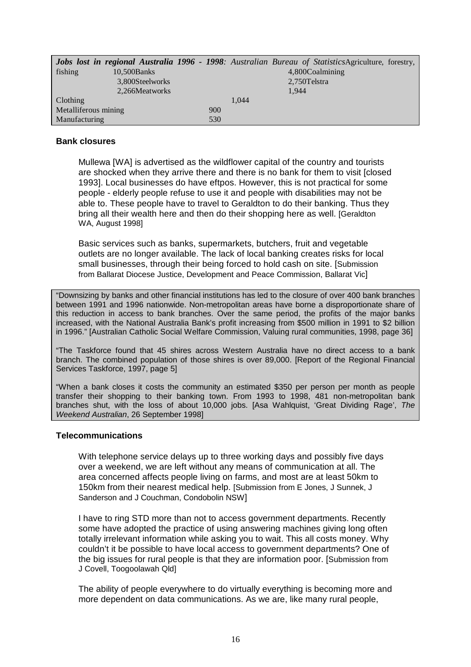|                      |                 |     |       | <b>Jobs lost in regional Australia 1996 - 1998</b> : Australian Bureau of StatisticsAgriculture, forestry, |
|----------------------|-----------------|-----|-------|------------------------------------------------------------------------------------------------------------|
| fishing              | $10,500$ Banks  |     |       | 4,800Coalmining                                                                                            |
|                      | 3,800Steelworks |     |       | 2,750 Telstra                                                                                              |
|                      | 2,266Meatworks  |     |       | 1,944                                                                                                      |
| Clothing             |                 |     | 1.044 |                                                                                                            |
| Metalliferous mining |                 | 900 |       |                                                                                                            |
| Manufacturing        |                 | 530 |       |                                                                                                            |

#### **Bank closures**

Mullewa [WA] is advertised as the wildflower capital of the country and tourists are shocked when they arrive there and there is no bank for them to visit [closed 1993]. Local businesses do have eftpos. However, this is not practical for some people - elderly people refuse to use it and people with disabilities may not be able to. These people have to travel to Geraldton to do their banking. Thus they bring all their wealth here and then do their shopping here as well. [Geraldton WA, August 19981

Basic services such as banks, supermarkets, butchers, fruit and vegetable outlets are no longer available. The lack of local banking creates risks for local small businesses, through their being forced to hold cash on site. [Submission from Ballarat Diocese Justice, Development and Peace Commission, Ballarat Vic]

"Downsizing by banks and other financial institutions has led to the closure of over 400 bank branches between 1991 and 1996 nationwide. Non-metropolitan areas have borne a disproportionate share of this reduction in access to bank branches. Over the same period, the profits of the major banks increased, with the National Australia Bank's profit increasing from \$500 million in 1991 to \$2 billion in 1996." [Australian Catholic Social Welfare Commission, Valuing rural communities, 1998, page 36]

"The Taskforce found that 45 shires across Western Australia have no direct access to a bank branch. The combined population of those shires is over 89,000. [Report of the Regional Financial Services Taskforce, 1997, page 5]

"When a bank closes it costs the community an estimated \$350 per person per month as people transfer their shopping to their banking town. From 1993 to 1998, 481 non-metropolitan bank branches shut, with the loss of about 10,000 jobs. [Asa Wahlquist, 'Great Dividing Rage', *The Weekend Australian*, 26 September 1998]

#### **Telecommunications**

With telephone service delays up to three working days and possibly five days over a weekend, we are left without any means of communication at all. The area concerned affects people living on farms, and most are at least 50km to 150km from their nearest medical help. [Submission from E Jones, J Sunnek, J Sanderson and J Couchman, Condobolin NSW]

I have to ring STD more than not to access government departments. Recently some have adopted the practice of using answering machines giving long often totally irrelevant information while asking you to wait. This all costs money. Why couldn't it be possible to have local access to government departments? One of the big issues for rural people is that they are information poor. [Submission from J Covell, Toogoolawah Qld]

The ability of people everywhere to do virtually everything is becoming more and more dependent on data communications. As we are, like many rural people,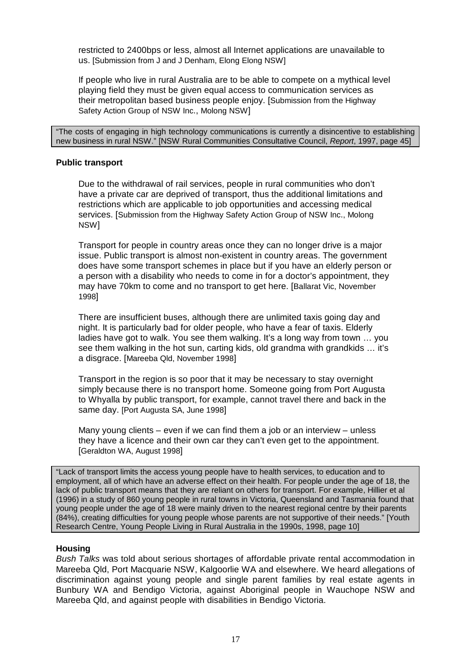restricted to 2400bps or less, almost all Internet applications are unavailable to us. [Submission from J and J Denham, Elong Elong NSW]

If people who live in rural Australia are to be able to compete on a mythical level playing field they must be given equal access to communication services as their metropolitan based business people enjoy. [Submission from the Highway Safety Action Group of NSW Inc., Molong NSW]

"The costs of engaging in high technology communications is currently a disincentive to establishing new business in rural NSW." [NSW Rural Communities Consultative Council, *Report*, 1997, page 45]

#### **Public transport**

Due to the withdrawal of rail services, people in rural communities who don't have a private car are deprived of transport, thus the additional limitations and restrictions which are applicable to job opportunities and accessing medical services. [Submission from the Highway Safety Action Group of NSW Inc., Molong NSW]

Transport for people in country areas once they can no longer drive is a major issue. Public transport is almost non-existent in country areas. The government does have some transport schemes in place but if you have an elderly person or a person with a disability who needs to come in for a doctor's appointment, they may have 70km to come and no transport to get here. [Ballarat Vic, November 1998]

There are insufficient buses, although there are unlimited taxis going day and night. It is particularly bad for older people, who have a fear of taxis. Elderly ladies have got to walk. You see them walking. It's a long way from town … you see them walking in the hot sun, carting kids, old grandma with grandkids … it's a disgrace. [Mareeba Qld, November 1998]

Transport in the region is so poor that it may be necessary to stay overnight simply because there is no transport home. Someone going from Port Augusta to Whyalla by public transport, for example, cannot travel there and back in the same day. [Port Augusta SA, June 1998]

Many young clients  $-$  even if we can find them a job or an interview  $-$  unless they have a licence and their own car they can't even get to the appointment. [Geraldton WA, August 1998]

"Lack of transport limits the access young people have to health services, to education and to employment, all of which have an adverse effect on their health. For people under the age of 18, the lack of public transport means that they are reliant on others for transport. For example, Hillier et al (1996) in a study of 860 young people in rural towns in Victoria, Queensland and Tasmania found that young people under the age of 18 were mainly driven to the nearest regional centre by their parents (84%), creating difficulties for young people whose parents are not supportive of their needs." [Youth Research Centre, Young People Living in Rural Australia in the 1990s, 1998, page 10]

#### **Housing**

*Bush Talks* was told about serious shortages of affordable private rental accommodation in Mareeba Qld, Port Macquarie NSW, Kalgoorlie WA and elsewhere. We heard allegations of discrimination against young people and single parent families by real estate agents in Bunbury WA and Bendigo Victoria, against Aboriginal people in Wauchope NSW and Mareeba Qld, and against people with disabilities in Bendigo Victoria.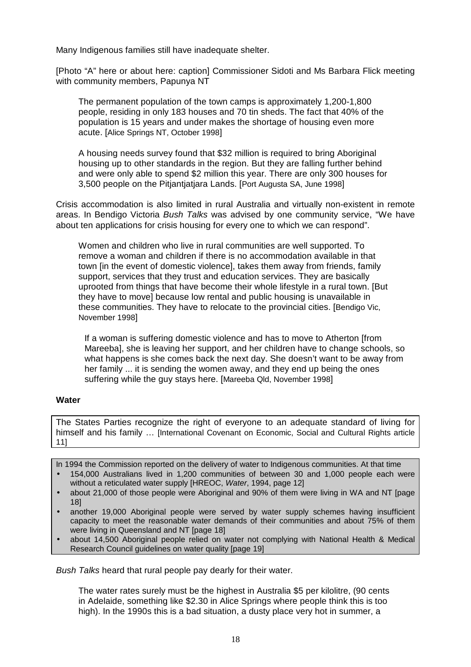Many Indigenous families still have inadequate shelter.

[Photo "A" here or about here: caption] Commissioner Sidoti and Ms Barbara Flick meeting with community members, Papunya NT

The permanent population of the town camps is approximately 1,200-1,800 people, residing in only 183 houses and 70 tin sheds. The fact that 40% of the population is 15 years and under makes the shortage of housing even more acute. [Alice Springs NT, October 1998]

A housing needs survey found that \$32 million is required to bring Aboriginal housing up to other standards in the region. But they are falling further behind and were only able to spend \$2 million this year. There are only 300 houses for 3,500 people on the Pitjantjatjara Lands. [Port Augusta SA, June 1998]

Crisis accommodation is also limited in rural Australia and virtually non-existent in remote areas. In Bendigo Victoria *Bush Talks* was advised by one community service, "We have about ten applications for crisis housing for every one to which we can respond".

Women and children who live in rural communities are well supported. To remove a woman and children if there is no accommodation available in that town [in the event of domestic violence], takes them away from friends, family support, services that they trust and education services. They are basically uprooted from things that have become their whole lifestyle in a rural town. [But they have to move] because low rental and public housing is unavailable in these communities. They have to relocate to the provincial cities. [Bendigo Vic, November 1998]

If a woman is suffering domestic violence and has to move to Atherton [from Mareeba], she is leaving her support, and her children have to change schools, so what happens is she comes back the next day. She doesn't want to be away from her family ... it is sending the women away, and they end up being the ones suffering while the guy stays here. [Mareeba Qld, November 1998]

#### **Water**

The States Parties recognize the right of everyone to an adequate standard of living for himself and his family … [International Covenant on Economic, Social and Cultural Rights article 11]

In 1994 the Commission reported on the delivery of water to Indigenous communities. At that time

- 154,000 Australians lived in 1,200 communities of between 30 and 1,000 people each were without a reticulated water supply [HREOC, *Water*, 1994, page 12]
- about 21,000 of those people were Aboriginal and 90% of them were living in WA and NT [page 18]
- another 19,000 Aboriginal people were served by water supply schemes having insufficient capacity to meet the reasonable water demands of their communities and about 75% of them were living in Queensland and NT [page 18]
- about 14,500 Aboriginal people relied on water not complying with National Health & Medical Research Council guidelines on water quality [page 19]

*Bush Talks* heard that rural people pay dearly for their water.

The water rates surely must be the highest in Australia \$5 per kilolitre, (90 cents in Adelaide, something like \$2.30 in Alice Springs where people think this is too high). In the 1990s this is a bad situation, a dusty place very hot in summer, a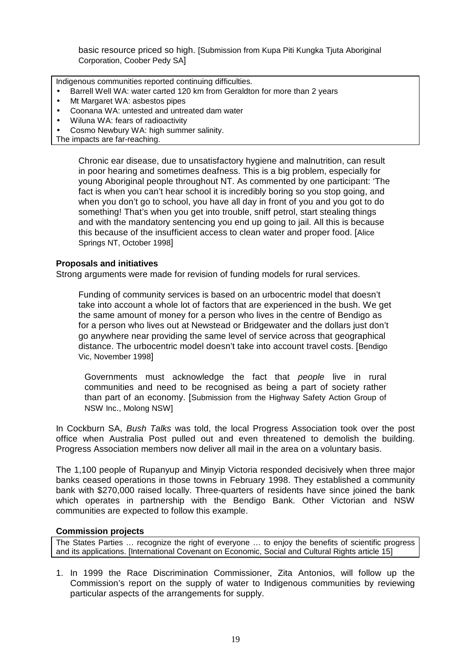basic resource priced so high. [Submission from Kupa Piti Kungka Tjuta Aboriginal Corporation, Coober Pedy SA]

Indigenous communities reported continuing difficulties.

- Barrell Well WA: water carted 120 km from Geraldton for more than 2 years
- Mt Margaret WA: asbestos pipes
- Coonana WA: untested and untreated dam water
- Wiluna WA: fears of radioactivity
- Cosmo Newbury WA: high summer salinity.
- The impacts are far-reaching.

Chronic ear disease, due to unsatisfactory hygiene and malnutrition, can result in poor hearing and sometimes deafness. This is a big problem, especially for young Aboriginal people throughout NT. As commented by one participant: 'The fact is when you can't hear school it is incredibly boring so you stop going, and when you don't go to school, you have all day in front of you and you got to do something! That's when you get into trouble, sniff petrol, start stealing things and with the mandatory sentencing you end up going to jail. All this is because this because of the insufficient access to clean water and proper food. [Alice Springs NT, October 1998]

#### **Proposals and initiatives**

Strong arguments were made for revision of funding models for rural services.

Funding of community services is based on an urbocentric model that doesn't take into account a whole lot of factors that are experienced in the bush. We get the same amount of money for a person who lives in the centre of Bendigo as for a person who lives out at Newstead or Bridgewater and the dollars just don't go anywhere near providing the same level of service across that geographical distance. The urbocentric model doesn't take into account travel costs. [Bendigo Vic, November 1998]

Governments must acknowledge the fact that *people* live in rural communities and need to be recognised as being a part of society rather than part of an economy. [Submission from the Highway Safety Action Group of NSW Inc., Molong NSW]

In Cockburn SA, *Bush Talks* was told, the local Progress Association took over the post office when Australia Post pulled out and even threatened to demolish the building. Progress Association members now deliver all mail in the area on a voluntary basis.

The 1,100 people of Rupanyup and Minyip Victoria responded decisively when three major banks ceased operations in those towns in February 1998. They established a community bank with \$270,000 raised locally. Three-quarters of residents have since joined the bank which operates in partnership with the Bendigo Bank. Other Victorian and NSW communities are expected to follow this example.

#### **Commission projects**

The States Parties … recognize the right of everyone … to enjoy the benefits of scientific progress and its applications. [International Covenant on Economic, Social and Cultural Rights article 15]

1. In 1999 the Race Discrimination Commissioner, Zita Antonios, will follow up the Commission's report on the supply of water to Indigenous communities by reviewing particular aspects of the arrangements for supply.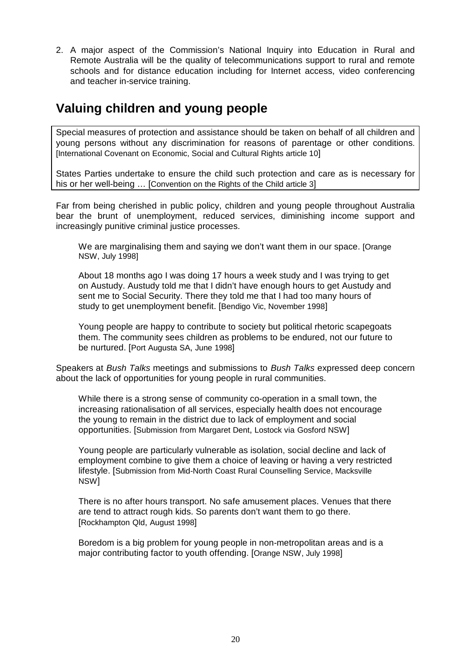2. A major aspect of the Commission's National Inquiry into Education in Rural and Remote Australia will be the quality of telecommunications support to rural and remote schools and for distance education including for Internet access, video conferencing and teacher in-service training.

### **Valuing children and young people**

Special measures of protection and assistance should be taken on behalf of all children and young persons without any discrimination for reasons of parentage or other conditions. [International Covenant on Economic, Social and Cultural Rights article 10]

States Parties undertake to ensure the child such protection and care as is necessary for his or her well-being ... [Convention on the Rights of the Child article 3]

Far from being cherished in public policy, children and young people throughout Australia bear the brunt of unemployment, reduced services, diminishing income support and increasingly punitive criminal justice processes.

We are marginalising them and saying we don't want them in our space. [Orange NSW, July 1998]

About 18 months ago I was doing 17 hours a week study and I was trying to get on Austudy. Austudy told me that I didn't have enough hours to get Austudy and sent me to Social Security. There they told me that I had too many hours of study to get unemployment benefit. [Bendigo Vic, November 1998]

Young people are happy to contribute to society but political rhetoric scapegoats them. The community sees children as problems to be endured, not our future to be nurtured. [Port Augusta SA, June 1998]

Speakers at *Bush Talks* meetings and submissions to *Bush Talks* expressed deep concern about the lack of opportunities for young people in rural communities.

While there is a strong sense of community co-operation in a small town, the increasing rationalisation of all services, especially health does not encourage the young to remain in the district due to lack of employment and social opportunities. [Submission from Margaret Dent, Lostock via Gosford NSW]

Young people are particularly vulnerable as isolation, social decline and lack of employment combine to give them a choice of leaving or having a very restricted lifestyle. [Submission from Mid-North Coast Rural Counselling Service, Macksville NSW]

There is no after hours transport. No safe amusement places. Venues that there are tend to attract rough kids. So parents don't want them to go there. [Rockhampton Qld, August 1998]

Boredom is a big problem for young people in non-metropolitan areas and is a major contributing factor to youth offending. [Orange NSW, July 1998]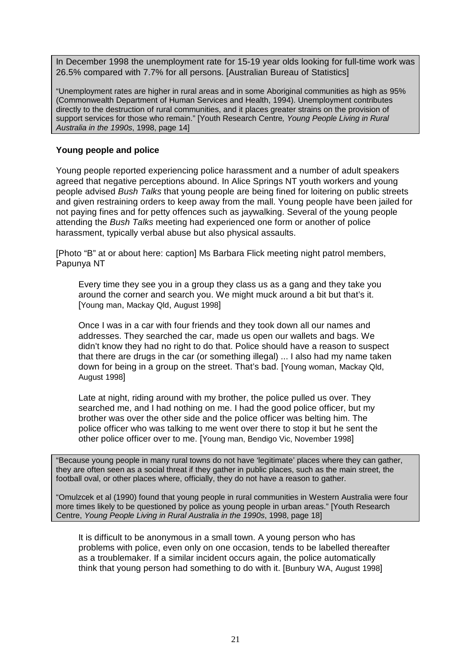In December 1998 the unemployment rate for 15-19 year olds looking for full-time work was 26.5% compared with 7.7% for all persons. [Australian Bureau of Statistics]

"Unemployment rates are higher in rural areas and in some Aboriginal communities as high as 95% (Commonwealth Department of Human Services and Health, 1994). Unemployment contributes directly to the destruction of rural communities, and it places greater strains on the provision of support services for those who remain." [Youth Research Centre*, Young People Living in Rural Australia in the 1990s*, 1998, page 14]

#### **Young people and police**

Young people reported experiencing police harassment and a number of adult speakers agreed that negative perceptions abound. In Alice Springs NT youth workers and young people advised *Bush Talks* that young people are being fined for loitering on public streets and given restraining orders to keep away from the mall. Young people have been jailed for not paying fines and for petty offences such as jaywalking. Several of the young people attending the *Bush Talks* meeting had experienced one form or another of police harassment, typically verbal abuse but also physical assaults.

[Photo "B" at or about here: caption] Ms Barbara Flick meeting night patrol members, Papunya NT

Every time they see you in a group they class us as a gang and they take you around the corner and search you. We might muck around a bit but that's it. [Young man, Mackay Qld, August 1998]

Once I was in a car with four friends and they took down all our names and addresses. They searched the car, made us open our wallets and bags. We didn't know they had no right to do that. Police should have a reason to suspect that there are drugs in the car (or something illegal) ... I also had my name taken down for being in a group on the street. That's bad. [Young woman, Mackay Qld, August 1998]

Late at night, riding around with my brother, the police pulled us over. They searched me, and I had nothing on me. I had the good police officer, but my brother was over the other side and the police officer was belting him. The police officer who was talking to me went over there to stop it but he sent the other police officer over to me. [Young man, Bendigo Vic, November 1998]

"Because young people in many rural towns do not have 'legitimate' places where they can gather, they are often seen as a social threat if they gather in public places, such as the main street, the football oval, or other places where, officially, they do not have a reason to gather.

"Omulzcek et al (1990) found that young people in rural communities in Western Australia were four more times likely to be questioned by police as young people in urban areas." [Youth Research Centre, *Young People Living in Rural Australia in the 1990s*, 1998, page 18]

It is difficult to be anonymous in a small town. A young person who has problems with police, even only on one occasion, tends to be labelled thereafter as a troublemaker. If a similar incident occurs again, the police automatically think that young person had something to do with it. [Bunbury WA, August 1998]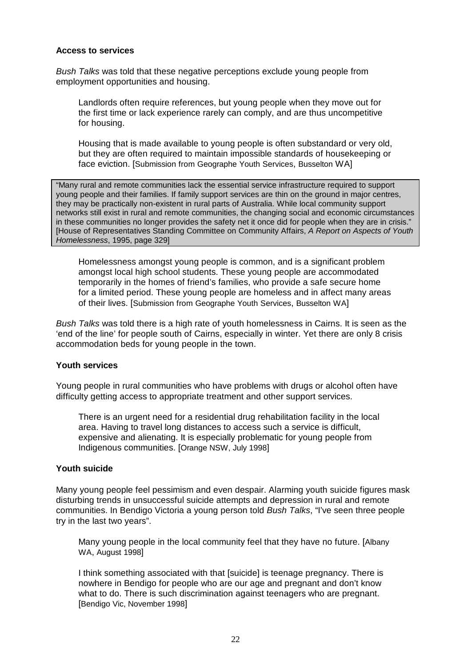#### **Access to services**

*Bush Talks* was told that these negative perceptions exclude young people from employment opportunities and housing.

Landlords often require references, but young people when they move out for the first time or lack experience rarely can comply, and are thus uncompetitive for housing.

Housing that is made available to young people is often substandard or very old, but they are often required to maintain impossible standards of housekeeping or face eviction. [Submission from Geographe Youth Services, Busselton WA]

"Many rural and remote communities lack the essential service infrastructure required to support young people and their families. If family support services are thin on the ground in major centres, they may be practically non-existent in rural parts of Australia. While local community support networks still exist in rural and remote communities, the changing social and economic circumstances in these communities no longer provides the safety net it once did for people when they are in crisis." [House of Representatives Standing Committee on Community Affairs, *A Report on Aspects of Youth Homelessness*, 1995, page 329]

Homelessness amongst young people is common, and is a significant problem amongst local high school students. These young people are accommodated temporarily in the homes of friend's families, who provide a safe secure home for a limited period. These young people are homeless and in affect many areas of their lives. [Submission from Geographe Youth Services, Busselton WA]

*Bush Talks* was told there is a high rate of youth homelessness in Cairns. It is seen as the 'end of the line' for people south of Cairns, especially in winter. Yet there are only 8 crisis accommodation beds for young people in the town.

#### **Youth services**

Young people in rural communities who have problems with drugs or alcohol often have difficulty getting access to appropriate treatment and other support services.

There is an urgent need for a residential drug rehabilitation facility in the local area. Having to travel long distances to access such a service is difficult, expensive and alienating. It is especially problematic for young people from Indigenous communities. [Orange NSW, July 1998]

#### **Youth suicide**

Many young people feel pessimism and even despair. Alarming youth suicide figures mask disturbing trends in unsuccessful suicide attempts and depression in rural and remote communities. In Bendigo Victoria a young person told *Bush Talks*, "I've seen three people try in the last two years".

Many young people in the local community feel that they have no future. [Albany WA, August 1998]

I think something associated with that [suicide] is teenage pregnancy. There is nowhere in Bendigo for people who are our age and pregnant and don't know what to do. There is such discrimination against teenagers who are pregnant. [Bendigo Vic, November 1998]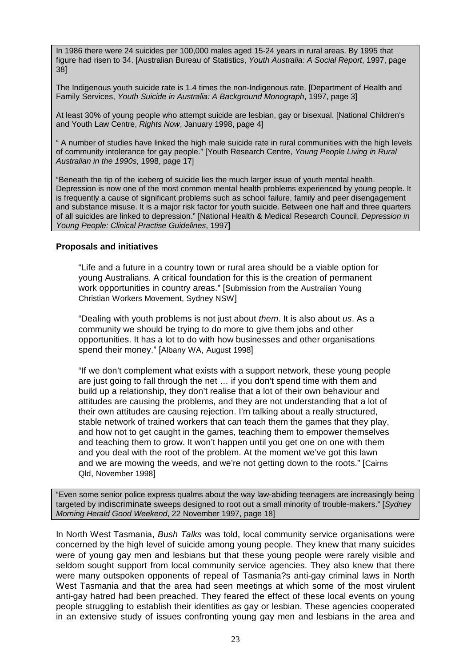In 1986 there were 24 suicides per 100,000 males aged 15-24 years in rural areas. By 1995 that figure had risen to 34. [Australian Bureau of Statistics, *Youth Australia: A Social Report*, 1997, page 38]

The Indigenous youth suicide rate is 1.4 times the non-Indigenous rate. [Department of Health and Family Services, *Youth Suicide in Australia: A Background Monograph*, 1997, page 3]

At least 30% of young people who attempt suicide are lesbian, gay or bisexual. [National Children's and Youth Law Centre, *Rights Now*, January 1998, page 4]

" A number of studies have linked the high male suicide rate in rural communities with the high levels of community intolerance for gay people." [Youth Research Centre, *Young People Living in Rural Australian in the 1990s*, 1998, page 17]

"Beneath the tip of the iceberg of suicide lies the much larger issue of youth mental health. Depression is now one of the most common mental health problems experienced by young people. It is frequently a cause of significant problems such as school failure, family and peer disengagement and substance misuse. It is a major risk factor for youth suicide. Between one half and three quarters of all suicides are linked to depression." [National Health & Medical Research Council, *Depression in Young People: Clinical Practise Guidelines*, 1997]

#### **Proposals and initiatives**

"Life and a future in a country town or rural area should be a viable option for young Australians. A critical foundation for this is the creation of permanent work opportunities in country areas." [Submission from the Australian Young Christian Workers Movement, Sydney NSW]

"Dealing with youth problems is not just about *them*. It is also about *us*. As a community we should be trying to do more to give them jobs and other opportunities. It has a lot to do with how businesses and other organisations spend their money." [Albany WA, August 1998]

"If we don't complement what exists with a support network, these young people are just going to fall through the net … if you don't spend time with them and build up a relationship, they don't realise that a lot of their own behaviour and attitudes are causing the problems, and they are not understanding that a lot of their own attitudes are causing rejection. I'm talking about a really structured, stable network of trained workers that can teach them the games that they play, and how not to get caught in the games, teaching them to empower themselves and teaching them to grow. It won't happen until you get one on one with them and you deal with the root of the problem. At the moment we've got this lawn and we are mowing the weeds, and we're not getting down to the roots." [Cairns Qld, November 1998]

"Even some senior police express qualms about the way law-abiding teenagers are increasingly being targeted by indiscriminate sweeps designed to root out a small minority of trouble-makers." [*Sydney Morning Herald Good Weekend*, 22 November 1997, page 18]

In North West Tasmania, *Bush Talks* was told, local community service organisations were concerned by the high level of suicide among young people. They knew that many suicides were of young gay men and lesbians but that these young people were rarely visible and seldom sought support from local community service agencies. They also knew that there were many outspoken opponents of repeal of Tasmania?s anti-gay criminal laws in North West Tasmania and that the area had seen meetings at which some of the most virulent anti-gay hatred had been preached. They feared the effect of these local events on young people struggling to establish their identities as gay or lesbian. These agencies cooperated in an extensive study of issues confronting young gay men and lesbians in the area and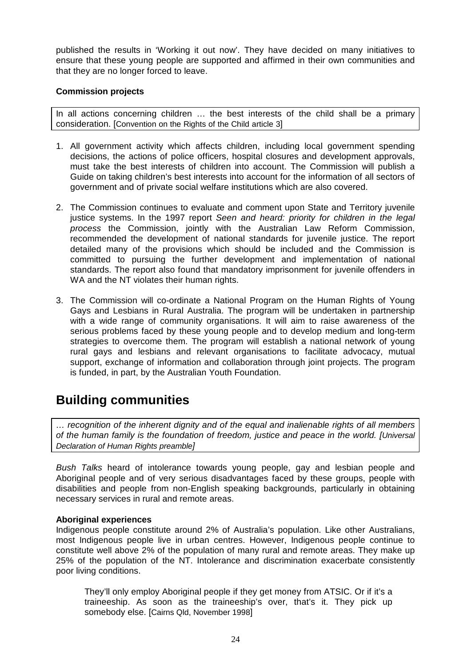published the results in 'Working it out now'. They have decided on many initiatives to ensure that these young people are supported and affirmed in their own communities and that they are no longer forced to leave.

#### **Commission projects**

In all actions concerning children … the best interests of the child shall be a primary consideration. [Convention on the Rights of the Child article 3]

- 1. All government activity which affects children, including local government spending decisions, the actions of police officers, hospital closures and development approvals, must take the best interests of children into account. The Commission will publish a Guide on taking children's best interests into account for the information of all sectors of government and of private social welfare institutions which are also covered.
- 2. The Commission continues to evaluate and comment upon State and Territory juvenile justice systems. In the 1997 report *Seen and heard: priority for children in the legal process* the Commission, jointly with the Australian Law Reform Commission, recommended the development of national standards for juvenile justice. The report detailed many of the provisions which should be included and the Commission is committed to pursuing the further development and implementation of national standards. The report also found that mandatory imprisonment for juvenile offenders in WA and the NT violates their human rights.
- 3. The Commission will co-ordinate a National Program on the Human Rights of Young Gays and Lesbians in Rural Australia. The program will be undertaken in partnership with a wide range of community organisations. It will aim to raise awareness of the serious problems faced by these young people and to develop medium and long-term strategies to overcome them. The program will establish a national network of young rural gays and lesbians and relevant organisations to facilitate advocacy, mutual support, exchange of information and collaboration through joint projects. The program is funded, in part, by the Australian Youth Foundation.

### **Building communities**

*… recognition of the inherent dignity and of the equal and inalienable rights of all members of the human family is the foundation of freedom, justice and peace in the world. [Universal Declaration of Human Rights preamble]*

*Bush Talks* heard of intolerance towards young people, gay and lesbian people and Aboriginal people and of very serious disadvantages faced by these groups, people with disabilities and people from non-English speaking backgrounds, particularly in obtaining necessary services in rural and remote areas.

#### **Aboriginal experiences**

Indigenous people constitute around 2% of Australia's population. Like other Australians, most Indigenous people live in urban centres. However, Indigenous people continue to constitute well above 2% of the population of many rural and remote areas. They make up 25% of the population of the NT. Intolerance and discrimination exacerbate consistently poor living conditions.

They'll only employ Aboriginal people if they get money from ATSIC. Or if it's a traineeship. As soon as the traineeship's over, that's it. They pick up somebody else. [Cairns Qld, November 1998]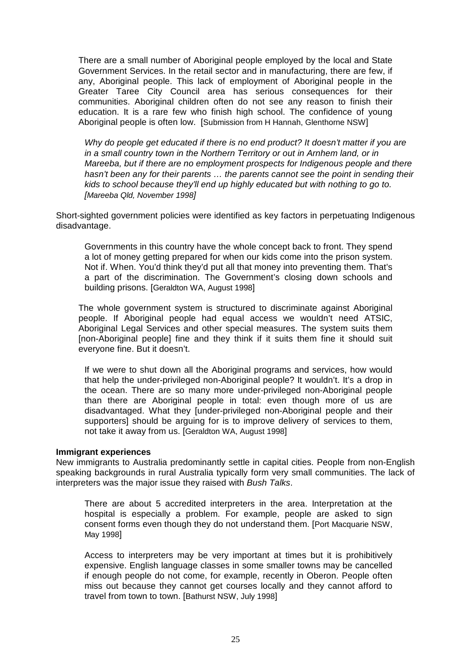There are a small number of Aboriginal people employed by the local and State Government Services. In the retail sector and in manufacturing, there are few, if any, Aboriginal people. This lack of employment of Aboriginal people in the Greater Taree City Council area has serious consequences for their communities. Aboriginal children often do not see any reason to finish their education. It is a rare few who finish high school. The confidence of young Aboriginal people is often low. [Submission from H Hannah, Glenthorne NSW]

*Why do people get educated if there is no end product? It doesn't matter if you are in a small country town in the Northern Territory or out in Arnhem land, or in Mareeba, but if there are no employment prospects for Indigenous people and there hasn't been any for their parents … the parents cannot see the point in sending their kids to school because they'll end up highly educated but with nothing to go to. [Mareeba Qld, November 1998]*

Short-sighted government policies were identified as key factors in perpetuating Indigenous disadvantage.

Governments in this country have the whole concept back to front. They spend a lot of money getting prepared for when our kids come into the prison system. Not if. When. You'd think they'd put all that money into preventing them. That's a part of the discrimination. The Government's closing down schools and building prisons. [Geraldton WA, August 1998]

The whole government system is structured to discriminate against Aboriginal people. If Aboriginal people had equal access we wouldn't need ATSIC, Aboriginal Legal Services and other special measures. The system suits them [non-Aboriginal people] fine and they think if it suits them fine it should suit everyone fine. But it doesn't.

If we were to shut down all the Aboriginal programs and services, how would that help the under-privileged non-Aboriginal people? It wouldn't. It's a drop in the ocean. There are so many more under-privileged non-Aboriginal people than there are Aboriginal people in total: even though more of us are disadvantaged. What they [under-privileged non-Aboriginal people and their supporters] should be arguing for is to improve delivery of services to them, not take it away from us. [Geraldton WA, August 1998]

#### **Immigrant experiences**

New immigrants to Australia predominantly settle in capital cities. People from non-English speaking backgrounds in rural Australia typically form very small communities. The lack of interpreters was the major issue they raised with *Bush Talks*.

There are about 5 accredited interpreters in the area. Interpretation at the hospital is especially a problem. For example, people are asked to sign consent forms even though they do not understand them. [Port Macquarie NSW, May 1998]

Access to interpreters may be very important at times but it is prohibitively expensive. English language classes in some smaller towns may be cancelled if enough people do not come, for example, recently in Oberon. People often miss out because they cannot get courses locally and they cannot afford to travel from town to town. [Bathurst NSW, July 1998]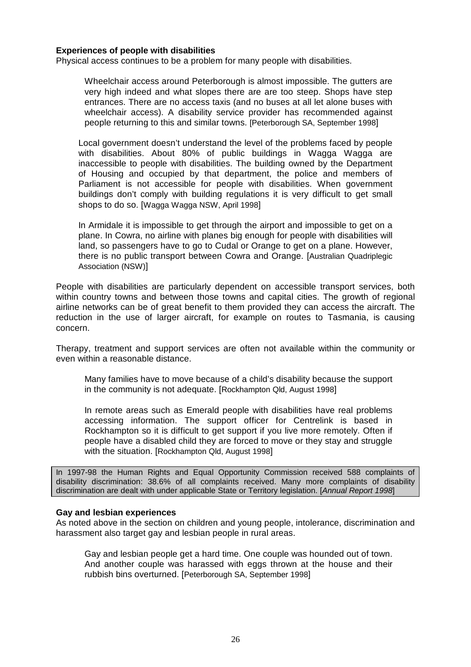#### **Experiences of people with disabilities**

Physical access continues to be a problem for many people with disabilities.

Wheelchair access around Peterborough is almost impossible. The gutters are very high indeed and what slopes there are are too steep. Shops have step entrances. There are no access taxis (and no buses at all let alone buses with wheelchair access). A disability service provider has recommended against people returning to this and similar towns. [Peterborough SA, September 1998]

Local government doesn't understand the level of the problems faced by people with disabilities. About 80% of public buildings in Wagga Wagga are inaccessible to people with disabilities. The building owned by the Department of Housing and occupied by that department, the police and members of Parliament is not accessible for people with disabilities. When government buildings don't comply with building regulations it is very difficult to get small shops to do so. [Wagga Wagga NSW, April 1998]

In Armidale it is impossible to get through the airport and impossible to get on a plane. In Cowra, no airline with planes big enough for people with disabilities will land, so passengers have to go to Cudal or Orange to get on a plane. However, there is no public transport between Cowra and Orange. [Australian Quadriplegic Association (NSW)]

People with disabilities are particularly dependent on accessible transport services, both within country towns and between those towns and capital cities. The growth of regional airline networks can be of great benefit to them provided they can access the aircraft. The reduction in the use of larger aircraft, for example on routes to Tasmania, is causing concern.

Therapy, treatment and support services are often not available within the community or even within a reasonable distance.

Many families have to move because of a child's disability because the support in the community is not adequate. [Rockhampton Qld, August 1998]

In remote areas such as Emerald people with disabilities have real problems accessing information. The support officer for Centrelink is based in Rockhampton so it is difficult to get support if you live more remotely. Often if people have a disabled child they are forced to move or they stay and struggle with the situation. [Rockhampton Qld, August 1998]

In 1997-98 the Human Rights and Equal Opportunity Commission received 588 complaints of disability discrimination: 38.6% of all complaints received. Many more complaints of disability discrimination are dealt with under applicable State or Territory legislation. [*Annual Report 1998*]

#### **Gay and lesbian experiences**

As noted above in the section on children and young people, intolerance, discrimination and harassment also target gay and lesbian people in rural areas.

Gay and lesbian people get a hard time. One couple was hounded out of town. And another couple was harassed with eggs thrown at the house and their rubbish bins overturned. [Peterborough SA, September 1998]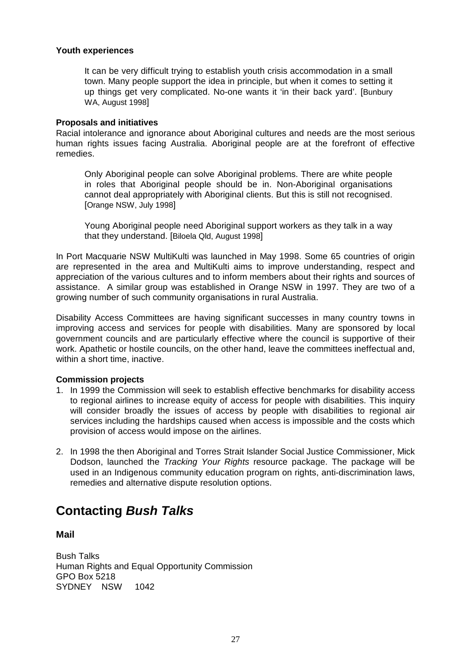#### **Youth experiences**

It can be very difficult trying to establish youth crisis accommodation in a small town. Many people support the idea in principle, but when it comes to setting it up things get very complicated. No-one wants it 'in their back yard'. [Bunbury WA, August 1998]

#### **Proposals and initiatives**

Racial intolerance and ignorance about Aboriginal cultures and needs are the most serious human rights issues facing Australia. Aboriginal people are at the forefront of effective remedies.

Only Aboriginal people can solve Aboriginal problems. There are white people in roles that Aboriginal people should be in. Non-Aboriginal organisations cannot deal appropriately with Aboriginal clients. But this is still not recognised. [Orange NSW, July 1998]

Young Aboriginal people need Aboriginal support workers as they talk in a way that they understand. [Biloela Qld, August 1998]

In Port Macquarie NSW MultiKulti was launched in May 1998. Some 65 countries of origin are represented in the area and MultiKulti aims to improve understanding, respect and appreciation of the various cultures and to inform members about their rights and sources of assistance. A similar group was established in Orange NSW in 1997. They are two of a growing number of such community organisations in rural Australia.

Disability Access Committees are having significant successes in many country towns in improving access and services for people with disabilities. Many are sponsored by local government councils and are particularly effective where the council is supportive of their work. Apathetic or hostile councils, on the other hand, leave the committees ineffectual and, within a short time, inactive.

#### **Commission projects**

- 1. In 1999 the Commission will seek to establish effective benchmarks for disability access to regional airlines to increase equity of access for people with disabilities. This inquiry will consider broadly the issues of access by people with disabilities to regional air services including the hardships caused when access is impossible and the costs which provision of access would impose on the airlines.
- 2. In 1998 the then Aboriginal and Torres Strait Islander Social Justice Commissioner, Mick Dodson, launched the *Tracking Your Rights* resource package. The package will be used in an Indigenous community education program on rights, anti-discrimination laws, remedies and alternative dispute resolution options.

### **Contacting** *Bush Talks*

#### **Mail**

Bush Talks Human Rights and Equal Opportunity Commission GPO Box 5218 SYDNEY NSW 1042